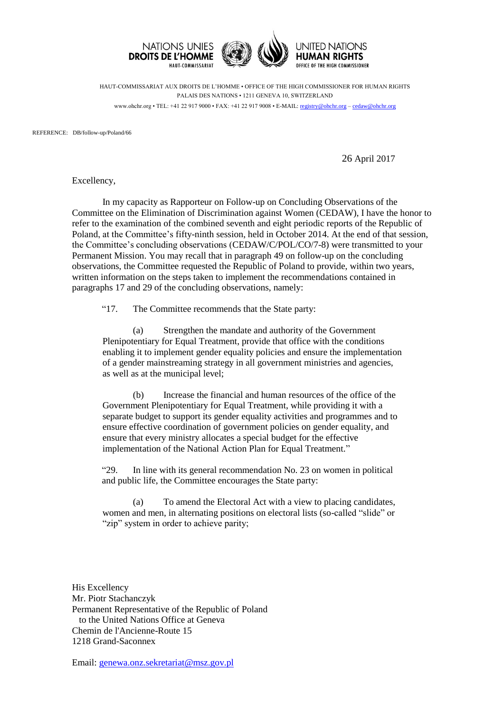

HAUT-COMMISSARIAT AUX DROITS DE L'HOMME • OFFICE OF THE HIGH COMMISSIONER FOR HUMAN RIGHTS PALAIS DES NATIONS • 1211 GENEVA 10, SWITZERLAND www.ohchr.org • TEL: +41 22 917 9000 • FAX: +41 22 917 9008 • E-MAIL: [registry@ohchr.org](mailto:registry@ohchr.org) – [cedaw@ohchr.org](mailto:cedaw@ohchr.org)

REFERENCE: DB/follow-up/Poland/66

26 April 2017

Excellency,

In my capacity as Rapporteur on Follow-up on Concluding Observations of the Committee on the Elimination of Discrimination against Women (CEDAW), I have the honor to refer to the examination of the combined seventh and eight periodic reports of the Republic of Poland, at the Committee's fifty-ninth session, held in October 2014. At the end of that session, the Committee's concluding observations (CEDAW/C/POL/CO/7-8) were transmitted to your Permanent Mission. You may recall that in paragraph 49 on follow-up on the concluding observations, the Committee requested the Republic of Poland to provide, within two years, written information on the steps taken to implement the recommendations contained in paragraphs 17 and 29 of the concluding observations, namely:

"17. The Committee recommends that the State party:

(a) Strengthen the mandate and authority of the Government Plenipotentiary for Equal Treatment, provide that office with the conditions enabling it to implement gender equality policies and ensure the implementation of a gender mainstreaming strategy in all government ministries and agencies, as well as at the municipal level;

(b) Increase the financial and human resources of the office of the Government Plenipotentiary for Equal Treatment, while providing it with a separate budget to support its gender equality activities and programmes and to ensure effective coordination of government policies on gender equality, and ensure that every ministry allocates a special budget for the effective implementation of the National Action Plan for Equal Treatment."

"29. In line with its general recommendation No. 23 on women in political and public life, the Committee encourages the State party:

(a) To amend the Electoral Act with a view to placing candidates, women and men, in alternating positions on electoral lists (so-called "slide" or "zip" system in order to achieve parity;

His Excellency Mr. Piotr Stachanczyk Permanent Representative of the Republic of Poland to the United Nations Office at Geneva Chemin de l'Ancienne-Route 15 1218 Grand-Saconnex